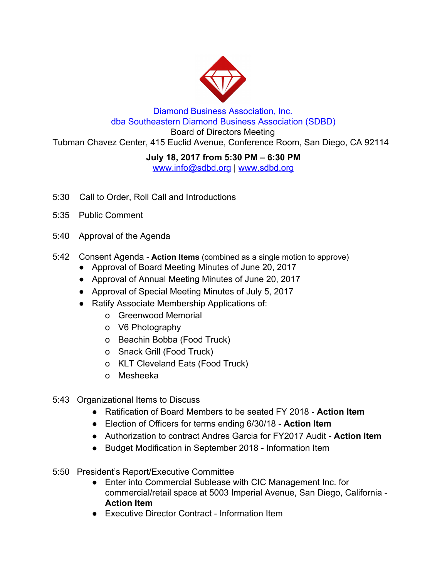

## Diamond Business Association, Inc. dba Southeastern Diamond Business Association (SDBD)

Board of Directors Meeting Tubman Chavez Center, 415 Euclid Avenue, Conference Room, San Diego, CA 92114

## **July 18, 2017 from 5:30 PM – 6:30 PM**

www.info@sdbd.org | [www.sdbd.org](http://www.sdbd.org/)

- 5:30 Call to Order, Roll Call and Introductions
- 5:35 Public Comment
- 5:40 Approval of the Agenda
- 5:42 Consent Agenda **Action Items** ( combined as a single motion to approve)
	- Approval of Board Meeting Minutes of June 20, 2017
	- Approval of Annual Meeting Minutes of June 20, 2017
	- Approval of Special Meeting Minutes of July 5, 2017
	- Ratify Associate Membership Applications of:
		- o Greenwood Memorial
		- o V6 Photography
		- o Beachin Bobba (Food Truck)
		- o Snack Grill (Food Truck)
		- o KLT Cleveland Eats (Food Truck)
		- o Mesheeka
- 5:43 Organizational Items to Discuss
	- Ratification of Board Members to be seated FY 2018 **Action Item**
	- Election of Officers for terms ending 6/30/18 **Action Item**
	- Authorization to contract Andres Garcia for FY2017 Audit **Action Item**
	- Budget Modification in September 2018 Information Item
- 5:50 President's Report/Executive Committee
	- Enter into Commercial Sublease with CIC Management Inc. for commercial/retail space at 5003 Imperial Avenue, San Diego, California - **Action Item**
	- Executive Director Contract Information Item